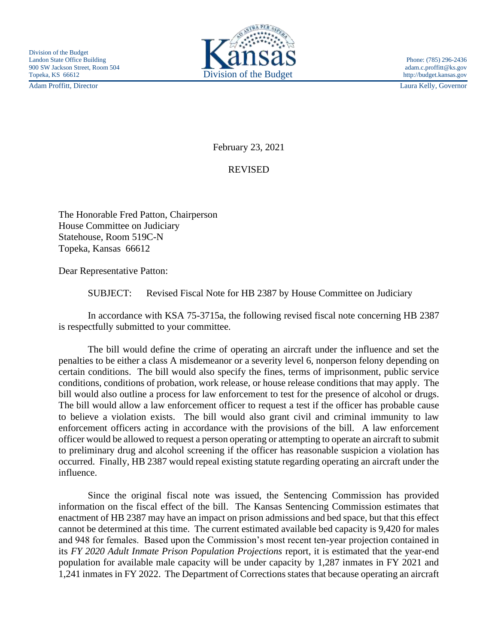Adam Proffitt, Director Laura Kelly, Governor



February 23, 2021

REVISED

The Honorable Fred Patton, Chairperson House Committee on Judiciary Statehouse, Room 519C-N Topeka, Kansas 66612

Dear Representative Patton:

SUBJECT: Revised Fiscal Note for HB 2387 by House Committee on Judiciary

In accordance with KSA 75-3715a, the following revised fiscal note concerning HB 2387 is respectfully submitted to your committee.

The bill would define the crime of operating an aircraft under the influence and set the penalties to be either a class A misdemeanor or a severity level 6, nonperson felony depending on certain conditions. The bill would also specify the fines, terms of imprisonment, public service conditions, conditions of probation, work release, or house release conditions that may apply. The bill would also outline a process for law enforcement to test for the presence of alcohol or drugs. The bill would allow a law enforcement officer to request a test if the officer has probable cause to believe a violation exists. The bill would also grant civil and criminal immunity to law enforcement officers acting in accordance with the provisions of the bill. A law enforcement officer would be allowed to request a person operating or attempting to operate an aircraft to submit to preliminary drug and alcohol screening if the officer has reasonable suspicion a violation has occurred. Finally, HB 2387 would repeal existing statute regarding operating an aircraft under the influence.

Since the original fiscal note was issued, the Sentencing Commission has provided information on the fiscal effect of the bill. The Kansas Sentencing Commission estimates that enactment of HB 2387 may have an impact on prison admissions and bed space, but that this effect cannot be determined at this time. The current estimated available bed capacity is 9,420 for males and 948 for females. Based upon the Commission's most recent ten-year projection contained in its *FY 2020 Adult Inmate Prison Population Projections* report, it is estimated that the year-end population for available male capacity will be under capacity by 1,287 inmates in FY 2021 and 1,241 inmates in FY 2022. The Department of Corrections states that because operating an aircraft